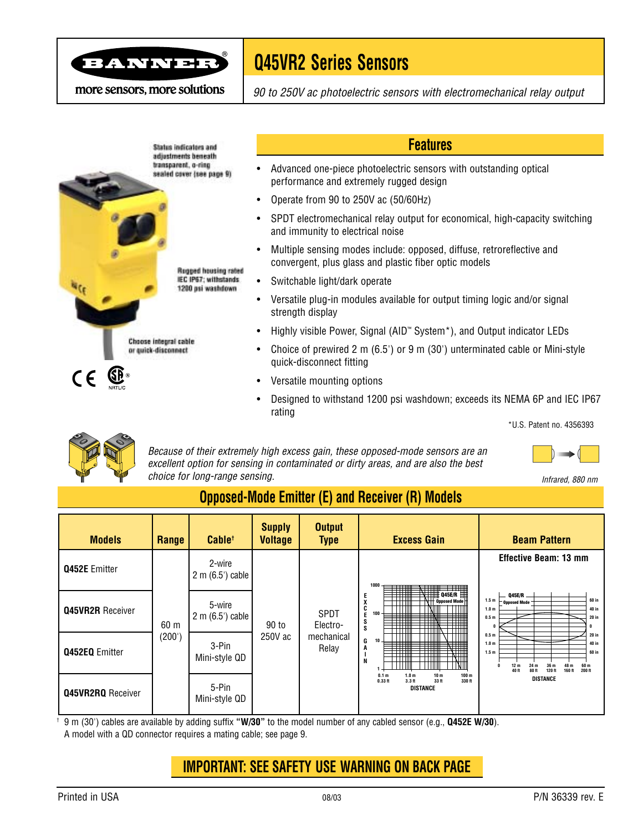

# **Q45VR2 Series Sensors**

more sensors, more solutions

*90 to 250V ac photoelectric sensors with electromechanical relay output*



#### **Features**

- Advanced one-piece photoelectric sensors with outstanding optical performance and extremely rugged design
- Operate from 90 to 250V ac (50/60Hz)
- SPDT electromechanical relay output for economical, high-capacity switching and immunity to electrical noise
- Multiple sensing modes include: opposed, diffuse, retroreflective and convergent, plus glass and plastic fiber optic models
- Switchable light/dark operate
- Versatile plug-in modules available for output timing logic and/or signal strength display
- Highly visible Power, Signal (AID™ System\*), and Output indicator LEDs
- Choice of prewired 2 m (6.5') or 9 m (30') unterminated cable or Mini-style quick-disconnect fitting
- Versatile mounting options
- Designed to withstand 1200 psi washdown; exceeds its NEMA 6P and IEC IP67 rating

\*U.S. Patent no. 4356393



*Because of their extremely high excess gain, these opposed-mode sensors are an excellent option for sensing in contaminated or dirty areas, and are also the best choice for long-range sensing. Infrared, 880 nm*

## **Opposed-Mode Emitter (E) and Receiver (R) Models**

| <b>Models</b>            | Range          | Cable <sup>+</sup>          | <b>Supply</b><br><b>Voltage</b> | <b>Output</b><br><b>Type</b>            | <b>Excess Gain</b>                                                                                                                                                                                                                                                                                                                                                  | <b>Beam Pattern</b>                                                                                                                                                                                                                                                                                         |
|--------------------------|----------------|-----------------------------|---------------------------------|-----------------------------------------|---------------------------------------------------------------------------------------------------------------------------------------------------------------------------------------------------------------------------------------------------------------------------------------------------------------------------------------------------------------------|-------------------------------------------------------------------------------------------------------------------------------------------------------------------------------------------------------------------------------------------------------------------------------------------------------------|
| <b>Q452E Emitter</b>     | 60 m<br>(200') | 2-wire<br>$2 m (6.5)$ cable | 90 to<br>250V ac                | SPDT<br>Electro-<br>mechanical<br>Relay | 1000<br>- 年 11<br>$\mathbf{Q}$ $\mathbf{Q}$ $\mathbf{Q}$ $\mathbf{q}$ $\mathbf{q}$ $\mathbf{q}$ $\mathbf{p}$<br>Е<br>X<br><b>Opposed Mode</b><br>C<br>100<br>E<br>S<br>s<br>G<br>$10 +$<br>A<br><b>HH</b><br>╤╪╪╪╫<br>╖<br>N<br>0.1 <sub>m</sub><br>1.0 <sub>m</sub><br>10 <sub>m</sub><br>100 <sub>m</sub><br>$0.33$ ft<br>330 ft<br>$3.3$ ft<br>33 ft<br>DISTANCE | <b>Effective Beam: 13 mm</b>                                                                                                                                                                                                                                                                                |
| <b>Q45VR2R</b> Receiver  |                | 5-wire<br>$2 m (6.5)$ cable |                                 |                                         |                                                                                                                                                                                                                                                                                                                                                                     | Q45E/R _<br>60 in<br>1.5m<br><b>Opposed Mode</b><br>40 in<br>1.0 <sub>m</sub><br>0.5 <sub>m</sub><br>$20$ in<br>0.5 <sub>m</sub><br>$20$ in<br>1.0 <sub>m</sub><br>40 in<br>1.5 <sub>m</sub><br>60 in<br>12 <sub>m</sub><br>60 m<br>24 m<br>40 ft<br>200 ft<br>80 ft<br>120 ff<br>160 ft<br><b>DISTANCE</b> |
| <b>Q452EQ</b> Emitter    |                | 3-Pin<br>Mini-style QD      |                                 |                                         |                                                                                                                                                                                                                                                                                                                                                                     |                                                                                                                                                                                                                                                                                                             |
| <b>Q45VR2RQ</b> Receiver |                | 5-Pin<br>Mini-style QD      |                                 |                                         |                                                                                                                                                                                                                                                                                                                                                                     |                                                                                                                                                                                                                                                                                                             |

† 9 m (30') cables are available by adding suffix **"W/30"** to the model number of any cabled sensor (e.g., **Q452E W/30**). A model with a QD connector requires a mating cable; see page 9.

## **IMPORTANT: SEE SAFETY USE WARNING ON BACK PAGE**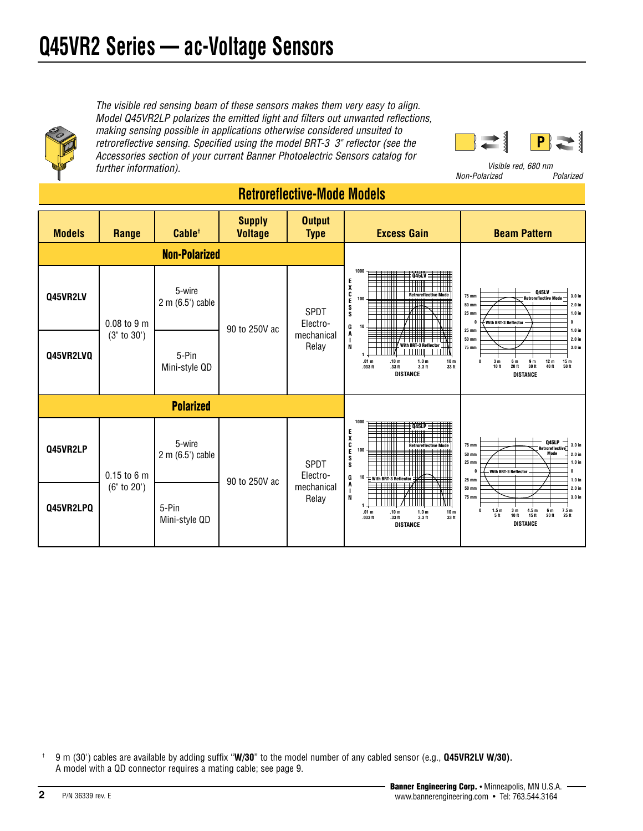

*The visible red sensing beam of these sensors makes them very easy to align. Model Q45VR2LP polarizes the emitted light and filters out unwanted reflections, making sensing possible in applications otherwise considered unsuited to retroreflective sensing. Specified using the model BRT-3 3" reflector (see the Accessories section of your current Banner Photoelectric Sensors catalog for further information). Visible red, 680 nm*



 $Non-Polarized$ 

#### **Models Range Cable† Supply Voltage Output Type Excess Gain Beam Pattern Non-Polarized 1 10 100 1000 .10 m .33 ft 1.0 m 3.3 ft 10 m 33 ft .01 m .033 ft E X C E S S G A I N DISTANCE Q45LV Retroreflective Mode With BRT-3 Reflector 12 m 40 ft 15 m 50 ft 9 m 30 ft 6 m 20 ft 3 m 10 ft 0 0 25 mm 50 mm 75 m 25 mm 50 mm 75 mm 0 1.0 in 2.0 in 3.0 in 1.0 in 2.0 in 3.0 in DISTANCE Q45LV Retroreflective Mode With BRT-3 Reflector Polarized 1 .01 m .033 ft 10 100 1000 .10 m .33 ft 1.0 m 3.3 ft 10 m 33 ft E X C E S S G A I N DISTANCE Q45LP Retroreflective Mode With BRT-3 Reflector 6 m 20 ft 7.5 m 25 ft 4.5 m 15 ft 3 m 10 ft 1.5 m 5 ft 0 0 25 mm 50 mm 75 m 25 mm 50 mm 75 mm 0 1.0 in 2.0 in 3.0 in 1.0 in 2.0 in 3.0 in DISTANCE Q45LP Retroreflective Mode With BRT-3 Reflector Q45VR2LP** 0.15 to 6 m (6" to 20') **Q45VR2LV** 5-wire 2 m (6.5') cable 90 to 250V ac SPDT Electromechanical Relay 0.08 to 9 m (3" to 30') 5-wire 2 m (6.5') cable 90 to 250V ac SPDT Electromechanical Relay **Retroreflective-Mode Models Q45VR2LVQ** | 5-Pin Mini-style QD **Q45VR2LPQ**  $\begin{array}{ccc} \bullet & \bullet & \bullet \\ \bullet & \bullet & \bullet \end{array}$  5-Pin Mini-style QD

† 9 m (30') cables are available by adding suffix "**W/30**" to the model number of any cabled sensor (e.g., **Q45VR2LV W/30).** A model with a QD connector requires a mating cable; see page 9.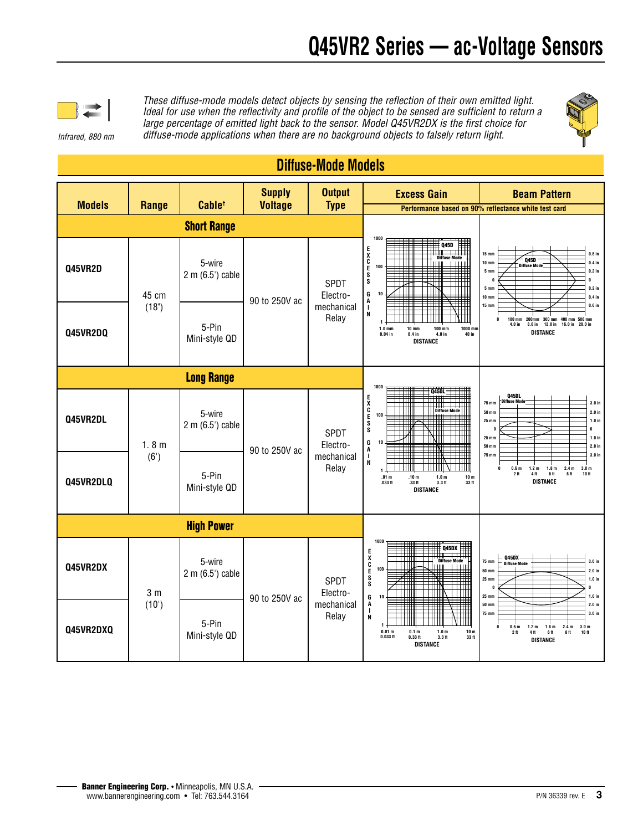

*These diffuse-mode models detect objects by sensing the reflection of their own emitted light. Ideal for use when the reflectivity and profile of the object to be sensed are sufficient to return a large percentage of emitted light back to the sensor. Model Q45VR2DX is the first choice for diffuse-mode applications when there are no background objects to falsely return light.*



#### *Infrared, 880 nm*

**Diffuse-Mode Models**

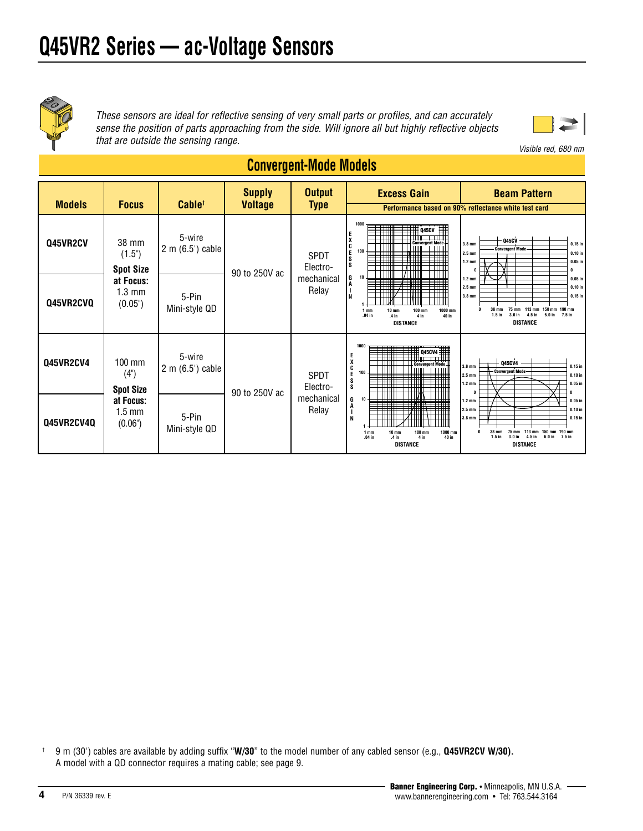

*These sensors are ideal for reflective sensing of very small parts or profiles, and can accurately sense the position of parts approaching from the side. Will ignore all but highly reflective objects that are outside the sensing range.* 



*Visible red, 680 nm*

#### **190 mm 7.5 in 150 mm 6.0 in 113 mm 4.5 in 75 mm 3.0 in 38 mm 1.5 in 0 0**  $1.2 m<sub>i</sub>$ **2.5 mm 3.8 mm 1.2 mm 2.5 mm 3.8 mm 0 0.05 in 0.10 in 0.15 in 0.05 in 0.10 in**  $0.15i$ **DISTANCE Q45CV Convergent Mode Models Focus Cable† Supply Voltage Output Type Excess Gain Beam Pattern Q45VR2CV 38 mm**  $(1.5")$ **Spot Size at Focus:** 1.3 mm (0.05") 5-wire 2 m (6.5') cable 90 to 250V ac SPDT Electromechanical Relay **1 10 100 10 mm .4 in 100 mm 4 in 1000 mm 40 in 1 mm .04 in 1000 E X C E S S G A I N DISTANCE Q45CV Convergent Mode 190 mm 7.5 in 150 mm 6.0 in 113 mm 4.5 in 75 mm 3.0 in 38 mm 1.5 in 0 0 1.2 mm 2.5 mm 3.8 mm 1.2 mm 2.5 mm 3.8 mm 0**  $0.05 i$ **0.10 in 0.15 in 0.05 in 0.10 in 0.15 i DISTANCE Q45CV4 Convergent Mode Q45VR2CV4** 100 mm (4") **Spot Size at Focus:** 1.5 mm (0.06") 5-wire 2 m (6.5') cable 90 to 250V ac SPDT Electromechanical Relay **1 10 10 10 mm .4 in 100 mm 4 in 1000 mm 40 in 1 mm .04 in 1000 E X C E S S G A I N DISTANCE Q45CV4 Convergent Mode Performance based on 90% reflectance white test card Q45VR2CVQ Q45VR2CV4Q** 5-Pin Mini-style QD 5-Pin Mini-style QD

## **Convergent-Mode Models**

† 9 m (30') cables are available by adding suffix "**W/30**" to the model number of any cabled sensor (e.g., **Q45VR2CV W/30).** A model with a QD connector requires a mating cable; see page 9.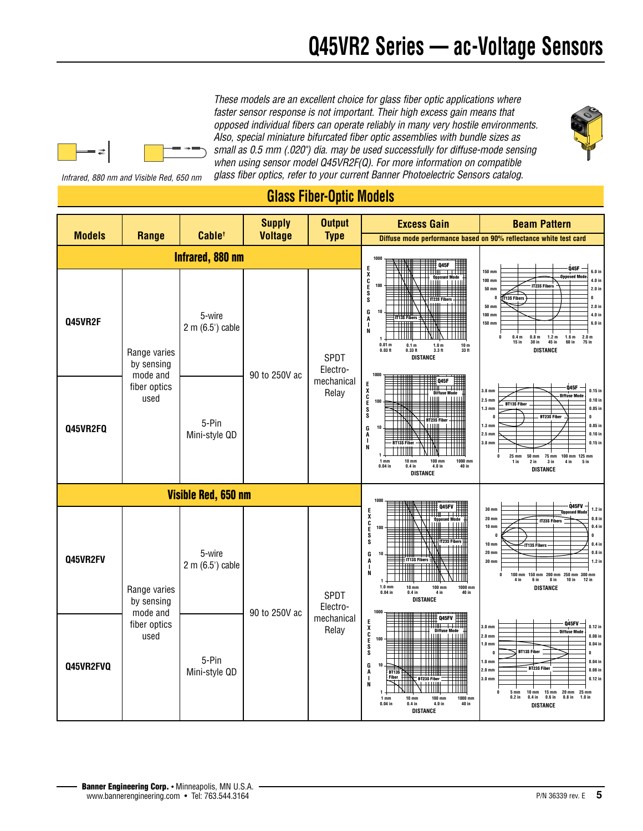*These models are an excellent choice for glass fiber optic applications where faster sensor response is not important. Their high excess gain means that opposed individual fibers can operate reliably in many very hostile environments. Also, special miniature bifurcated fiber optic assemblies with bundle sizes as small as 0.5 mm (.020") dia. may be used successfully for diffuse-mode sensing when using sensor model Q45VR2F(Q). For more information on compatible glass fiber optics, refer to your current Banner Photoelectric Sensors catalog.* 

*Infrared, 880 nm and Visible Red, 650 nm*



## **Glass Fiber-Optic Models**

|                     |                                                                                                                        |                            | <b>Supply</b>       | <b>Output</b>                                                                                                                                                                                                                                                                                     | <b>Excess Gain</b>                                                                                                                                                                                                                                                                                                                                                                                                                          | <b>Beam Pattern</b>                                                                                                                                                                                                                                                                                                                                                                                                                                                     |
|---------------------|------------------------------------------------------------------------------------------------------------------------|----------------------------|---------------------|---------------------------------------------------------------------------------------------------------------------------------------------------------------------------------------------------------------------------------------------------------------------------------------------------|---------------------------------------------------------------------------------------------------------------------------------------------------------------------------------------------------------------------------------------------------------------------------------------------------------------------------------------------------------------------------------------------------------------------------------------------|-------------------------------------------------------------------------------------------------------------------------------------------------------------------------------------------------------------------------------------------------------------------------------------------------------------------------------------------------------------------------------------------------------------------------------------------------------------------------|
|                     | <b>Voltage</b><br><b>Models</b><br>Cable <sup>+</sup><br>Range                                                         |                            |                     | <b>Type</b>                                                                                                                                                                                                                                                                                       | Diffuse mode performance based on 90% reflectance white test card                                                                                                                                                                                                                                                                                                                                                                           |                                                                                                                                                                                                                                                                                                                                                                                                                                                                         |
| Infrared, 880 nm    |                                                                                                                        |                            |                     | 1000<br>Q45F                                                                                                                                                                                                                                                                                      |                                                                                                                                                                                                                                                                                                                                                                                                                                             |                                                                                                                                                                                                                                                                                                                                                                                                                                                                         |
| Q45VR2F             | 5-wire<br>2 m (6.5') cable<br>Range varies<br>by sensing<br>mode and<br>fiber optics<br>used<br>5-Pin<br>Mini-style QD |                            |                     | <b>SPDT</b><br>Electro-                                                                                                                                                                                                                                                                           | E<br>X<br>C<br>E<br><b>Opposed Mode</b><br>- El Luñi<br>$+111$<br>100<br>s<br>s<br><b>IT23S Fibers</b><br>10<br>G<br><b>IT13S Fibers</b><br>A<br>N<br>1.0 <sub>m</sub><br>0.01 m<br>0.1 <sub>m</sub><br>10 <sub>m</sub><br>$0.03$ ft<br>3.3 <sub>ft</sub><br>33 ft<br>$0.33$ ft<br><b>DISTANCE</b>                                                                                                                                          | 045F<br>$150$ mm<br>$6.0$ in<br><b>Opposed Mode</b><br>100 mm<br>4.0 in<br>IT23S Fibers<br><b>50 mm</b><br>2.0 in<br>T13S Fibers<br>0<br>f<br>2.0 in<br><b>50 mm</b><br>4.0 in<br>100 mm<br>150 mm<br>6.0 in<br>1.2 <sub>m</sub><br>$\mathbf{0}$<br>0.4 <sub>m</sub><br>1.6 <sub>m</sub><br>2.0 <sub>m</sub><br>0.8 <sub>m</sub><br>$15$ in<br>75 in<br>45 in<br>60 in<br>30 in<br><b>DISTANCE</b>                                                                      |
| Q45VR2FQ            |                                                                                                                        | 90 to 250V ac              | mechanical<br>Relay | 1000<br>045F<br><b>RACKE</b><br><b>Diffuse Mode</b><br>TШ<br>l Thom <u>i cenn</u><br>100<br>— BT23S Fiber<br>\\           <br>G<br>10<br>A<br>ı<br><b>BT13S Fiber</b><br>N<br>1<br>$10$ mm<br>100 mm<br>1000 mm<br>1 <sub>mm</sub><br>$0.04$ in<br>4.0 in<br>40 in<br>$0.4$ in<br><b>DISTANCE</b> | Q45F<br>$0.15$ in<br>3.8 <sub>mn</sub><br><b>Diffuse Mode</b><br>$2.5 \text{ mm}$<br>$0.10$ in<br><b>BT13S Fiber</b><br>$1.3 \text{ mm}$<br>$0.05$ in<br><b>BT23S Fiber</b><br>$\mathbf{0}$<br>$\mathbf{0}$<br>$1.3 \text{ mm}$<br>$0.05$ in<br>$0.10$ in<br>$2.5 \text{ mm}$<br>$3.8 \text{ mm}$<br>$0.15$ in<br>25 mm<br><b>50 mm</b><br>75 mm<br>100 mm 125 mm<br>$2$ in<br>3 in<br>4 in<br>5 <sub>in</sub><br>$1$ in<br><b>DISTANCE</b> |                                                                                                                                                                                                                                                                                                                                                                                                                                                                         |
| Visible Red, 650 nm |                                                                                                                        |                            |                     |                                                                                                                                                                                                                                                                                                   | 1000                                                                                                                                                                                                                                                                                                                                                                                                                                        | Q45FV                                                                                                                                                                                                                                                                                                                                                                                                                                                                   |
| Q45VR2FV            | Range varies<br>by sensing<br>mode and<br>fiber optics<br>used                                                         | 5-wire<br>2 m (6.5') cable |                     | <b>SPDT</b><br>Electro-<br>mechanical<br>Relay                                                                                                                                                                                                                                                    | 045FV<br><b>EXCESS</b><br><b>Opposed Mode</b><br>100<br>IT23S Fibers<br>G<br>10<br>TIT13S Fibers<br>A<br>п<br>N<br><b>10 mm</b><br>100 mm<br>1000 mm<br>$1.0 \text{ mm}$<br>$0.04$ in<br>$0.4$ in<br>4 in<br>40 in<br><b>DISTANCE</b>                                                                                                                                                                                                       | $30 \text{ mm}$<br>$1.2$ in<br><b>Opposed Mode</b><br>$20 \text{ mm}$<br>$0.8$ in<br>IT23S Fibers<br>$10 \text{ mm}$<br>$0.4$ in<br>$\mathbf{0}$<br>$\mathbf{r}$<br>$0.4$ in<br>$10 \text{ mm}$<br><b>IT13S Fibers</b><br>$20 \text{ mm}$<br>$0.8$ in<br>$1.2$ in<br><b>30 mm</b><br>150 mm 200 mm<br>250 mm 300 mm<br>0<br>100 mm<br>4 in<br>6 in<br>8 in<br>10 in<br>$12$ in<br><b>DISTANCE</b>                                                                       |
| Q45VR2FVQ           |                                                                                                                        | 5-Pin<br>Mini-style QD     | 90 to 250V ac       |                                                                                                                                                                                                                                                                                                   | 1000<br>Q45FV<br><b>ENCKE</b><br>      <br>  Diffuse Mode<br>          <br>100<br>10<br>G<br>A<br><b>BT13S</b><br>$\mathbf{I}$<br>Fiber<br><b>BT23S Fibe</b><br>N<br>100 mm<br>1000 mm<br>$10 \text{ mm}$<br>1 <sub>mm</sub><br>$0.04$ in<br>40 in<br>$0.4$ in<br>4.0 <sub>in</sub><br><b>DISTANCE</b>                                                                                                                                      | Q45FV<br>$3.0 \text{ mm}$<br>$0.12$ in<br>-Diffuse Mode<br>$0.08$ in<br>$2.0 \text{ mm}$<br>$1.0 \text{ mm}$<br>$0.04$ in<br><b>BT13S Fiber</b><br>$\mathbf{r}$<br>n<br>$1.0 \text{ mm}$<br>$0.04$ in<br><b>BT23S Fibe</b><br>$2.0 \text{ mm}$<br>$0.08$ in<br>$3.0 \text{ mm}$<br>$0.12$ in<br>5 <sub>mm</sub><br>$10 \text{ mm}$<br><b>15 mm</b><br>$20$ mm<br>25 mm<br>1.0 <sub>in</sub><br>$0.2$ in<br>$0.4$ in<br>$0.6$ in<br>0.8 <sub>in</sub><br><b>DISTANCE</b> |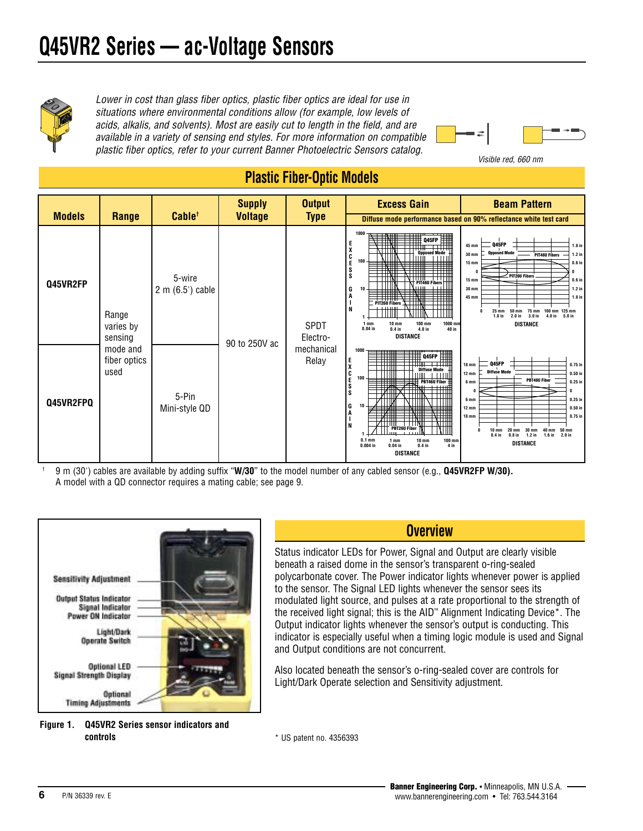

*Lower in cost than glass fiber optics, plastic fiber optics are ideal for use in situations where environmental conditions allow (for example, low levels of acids, alkalis, and solvents). Most are easily cut to length in the field, and are available in a variety of sensing end styles. For more information on compatible plastic fiber optics, refer to your current Banner Photoelectric Sensors catalog.* 



*Visible red, 660 nm*

#### **Plastic Fiber-Optic Models Models Range Cable† Supply Voltage Output Type Excess Gain Beam Pattern Q45VR2FP 1 10 100 10 mm 0.4 in 100 mm 4.0 in 1000 mm 40 in 1 mm 0.04 in 1000 E X C E S S G A I N DISTANCE Q45FP Opposed Mode PIT46U Fibers PIT26U Fibers 125 mm 5.0 in 100 mm 4.0 in 75 mm 3.0 in 50 mm 2.0 in 25 mm 1.0 in 0 0 15 m 30 mm** 45 m  $15 m$ **30 mm** 45 m **0 0.6 in 1.2 in 1.8 in 0.6 in 1.2 in 1.8 in DISTANCE Q45FP Opposed Mode PIT46U Fibers PIT26U Fibers Diffuse mode performance based on 90% reflectance white test card** Range varies by sensing mode and fiber optics used 5-wire 2 m (6.5') cable 90 to 250V ac SPDT Electromechanical Relay **1 10 100 1 mm 0.04 in 10 mm 0.4 in 100 mm 4 in 0.1 mm 0.004 in 1000 E X C E S S G A I N DISTANCE Q45FP Diffuse Mode PBT46U Fiber PBT26U Fiber 50 mm 2.0 in 40 mm 1.6 in 30 mm 1.2 in 20 mm 0.8 in 10 mm 0.4 in 0 0 6 mm 12 mm 18 mm 6 mm 12 mm 18 mm 0 0.25 in 0.50 in 0.75 in 0.25 in 0.50 in**  $0.75i$ **DISTANCE Q45FP Diff PBT46U Fiber Q45VR2FPO**  $\begin{array}{|c|c|c|} \hline \textbf{5}-\textbf{Pin} & \textbf{5}-\textbf{Pin} \end{array}$ Mini-style QD

† 9 m (30') cables are available by adding suffix "**W/30**" to the model number of any cabled sensor (e.g., **Q45VR2FP W/30).** A model with a QD connector requires a mating cable; see page 9.





#### **Overview**

Status indicator LEDs for Power, Signal and Output are clearly visible beneath a raised dome in the sensor's transparent o-ring-sealed polycarbonate cover. The Power indicator lights whenever power is applied to the sensor. The Signal LED lights whenever the sensor sees its modulated light source, and pulses at a rate proportional to the strength of the received light signal; this is the AID™ Alignment Indicating Device\*. The Output indicator lights whenever the sensor's output is conducting. This indicator is especially useful when a timing logic module is used and Signal and Output conditions are not concurrent.

Also located beneath the sensor's o-ring-sealed cover are controls for Light/Dark Operate selection and Sensitivity adjustment.

\* US patent no. 4356393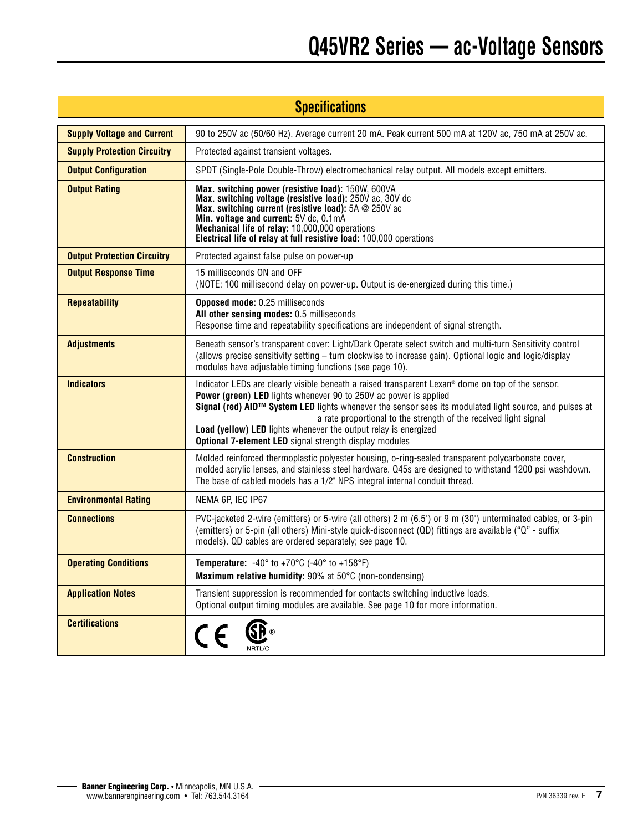| <b>Specifications</b>              |                                                                                                                                                                                                                                                                                                                                                                                                                                                                                              |  |  |  |
|------------------------------------|----------------------------------------------------------------------------------------------------------------------------------------------------------------------------------------------------------------------------------------------------------------------------------------------------------------------------------------------------------------------------------------------------------------------------------------------------------------------------------------------|--|--|--|
| <b>Supply Voltage and Current</b>  | 90 to 250V ac (50/60 Hz). Average current 20 mA. Peak current 500 mA at 120V ac, 750 mA at 250V ac.                                                                                                                                                                                                                                                                                                                                                                                          |  |  |  |
| <b>Supply Protection Circuitry</b> | Protected against transient voltages.                                                                                                                                                                                                                                                                                                                                                                                                                                                        |  |  |  |
| <b>Output Configuration</b>        | SPDT (Single-Pole Double-Throw) electromechanical relay output. All models except emitters.                                                                                                                                                                                                                                                                                                                                                                                                  |  |  |  |
| <b>Output Rating</b>               | Max. switching power (resistive load): 150W, 600VA<br>Max. switching voltage (resistive load): 250V ac, 30V dc<br>Max. switching current (resistive load): 5A @ 250V ac<br>Min. voltage and current: 5V dc, 0.1mA<br>Mechanical life of relay: 10,000,000 operations<br>Electrical life of relay at full resistive load: 100,000 operations                                                                                                                                                  |  |  |  |
| <b>Output Protection Circuitry</b> | Protected against false pulse on power-up                                                                                                                                                                                                                                                                                                                                                                                                                                                    |  |  |  |
| <b>Output Response Time</b>        | 15 milliseconds ON and OFF<br>(NOTE: 100 millisecond delay on power-up. Output is de-energized during this time.)                                                                                                                                                                                                                                                                                                                                                                            |  |  |  |
| <b>Repeatability</b>               | Opposed mode: 0.25 milliseconds<br>All other sensing modes: 0.5 milliseconds<br>Response time and repeatability specifications are independent of signal strength.                                                                                                                                                                                                                                                                                                                           |  |  |  |
| <b>Adjustments</b>                 | Beneath sensor's transparent cover: Light/Dark Operate select switch and multi-turn Sensitivity control<br>(allows precise sensitivity setting – turn clockwise to increase gain). Optional logic and logic/display<br>modules have adjustable timing functions (see page 10).                                                                                                                                                                                                               |  |  |  |
| <b>Indicators</b>                  | Indicator LEDs are clearly visible beneath a raised transparent Lexan <sup>®</sup> dome on top of the sensor.<br>Power (green) LED lights whenever 90 to 250V ac power is applied<br>Signal (red) AID™ System LED lights whenever the sensor sees its modulated light source, and pulses at<br>a rate proportional to the strength of the received light signal<br>Load (yellow) LED lights whenever the output relay is energized<br>Optional 7-element LED signal strength display modules |  |  |  |
| <b>Construction</b>                | Molded reinforced thermoplastic polyester housing, o-ring-sealed transparent polycarbonate cover,<br>molded acrylic lenses, and stainless steel hardware. Q45s are designed to withstand 1200 psi washdown.<br>The base of cabled models has a 1/2" NPS integral internal conduit thread.                                                                                                                                                                                                    |  |  |  |
| <b>Environmental Rating</b>        | NEMA 6P, IEC IP67                                                                                                                                                                                                                                                                                                                                                                                                                                                                            |  |  |  |
| <b>Connections</b>                 | PVC-jacketed 2-wire (emitters) or 5-wire (all others) 2 m (6.5') or 9 m (30') unterminated cables, or 3-pin<br>(emitters) or 5-pin (all others) Mini-style quick-disconnect (QD) fittings are available ("Q" - suffix<br>models). QD cables are ordered separately; see page 10.                                                                                                                                                                                                             |  |  |  |
| <b>Operating Conditions</b>        | <b>Temperature:</b> $-40^{\circ}$ to $+70^{\circ}$ C ( $-40^{\circ}$ to $+158^{\circ}$ F)<br>Maximum relative humidity: 90% at 50°C (non-condensing)                                                                                                                                                                                                                                                                                                                                         |  |  |  |
| <b>Application Notes</b>           | Transient suppression is recommended for contacts switching inductive loads.<br>Optional output timing modules are available. See page 10 for more information.                                                                                                                                                                                                                                                                                                                              |  |  |  |
| <b>Certifications</b>              | \$P®<br>$C \in$<br>NRTL/C                                                                                                                                                                                                                                                                                                                                                                                                                                                                    |  |  |  |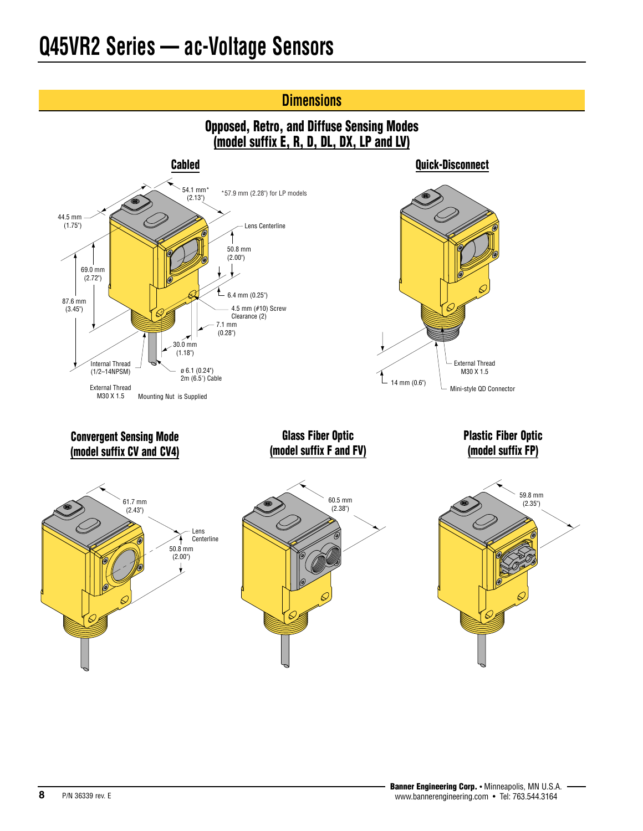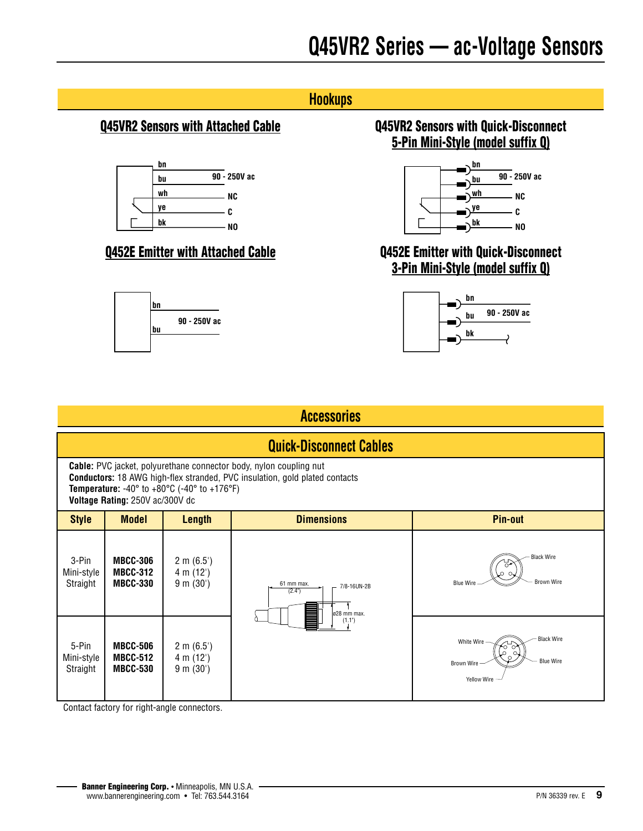# **Hookups**



### **Q452E Emitter with Attached Cable**



### **Q45VR2 Sensors with Attached Cable Q45VR2 Sensors with Quick-Disconnect 5-Pin Mini-Style (model suffix Q)**



### **Q452E Emitter with Quick-Disconnect 3-Pin Mini-Style (model suffix Q)**



| <b>Accessories</b>                                                                                                                                                                                                                                                                                 |                                                       |                                                 |                                                    |                                                                                                  |  |  |
|----------------------------------------------------------------------------------------------------------------------------------------------------------------------------------------------------------------------------------------------------------------------------------------------------|-------------------------------------------------------|-------------------------------------------------|----------------------------------------------------|--------------------------------------------------------------------------------------------------|--|--|
|                                                                                                                                                                                                                                                                                                    | <b>Quick-Disconnect Cables</b>                        |                                                 |                                                    |                                                                                                  |  |  |
| <b>Cable:</b> PVC jacket, polyurethane connector body, nylon coupling nut<br><b>Conductors:</b> 18 AWG high-flex stranded, PVC insulation, gold plated contacts<br><b>Temperature:</b> -40 $^{\circ}$ to +80 $^{\circ}$ C (-40 $^{\circ}$ to +176 $^{\circ}$ F)<br>Voltage Rating: 250V ac/300V dc |                                                       |                                                 |                                                    |                                                                                                  |  |  |
| <b>Style</b>                                                                                                                                                                                                                                                                                       | <b>Model</b>                                          | <b>Length</b>                                   | <b>Dimensions</b>                                  | <b>Pin-out</b>                                                                                   |  |  |
| 3-Pin<br>Mini-style<br>Straight                                                                                                                                                                                                                                                                    | <b>MBCC-306</b><br><b>MBCC-312</b><br><b>MBCC-330</b> | $2 \text{ m } (6.5')$<br>4 m (12')<br>9 m (30') | 61 mm max.<br>7/8-16UN-2B<br>(2.4")<br>ø28 mm max. | <b>Black Wire</b><br><b>Brown Wire</b><br><b>Blue Wire</b>                                       |  |  |
| 5-Pin<br>Mini-style<br>Straight                                                                                                                                                                                                                                                                    | <b>MBCC-506</b><br><b>MBCC-512</b><br><b>MBCC-530</b> | $2 \text{ m } (6.5')$<br>4 m (12')<br>9 m (30') | (1.1")                                             | <b>Black Wire</b><br>White Wire -<br><b>Blue Wire</b><br><b>Brown Wire</b><br><b>Yellow Wire</b> |  |  |

Contact factory for right-angle connectors.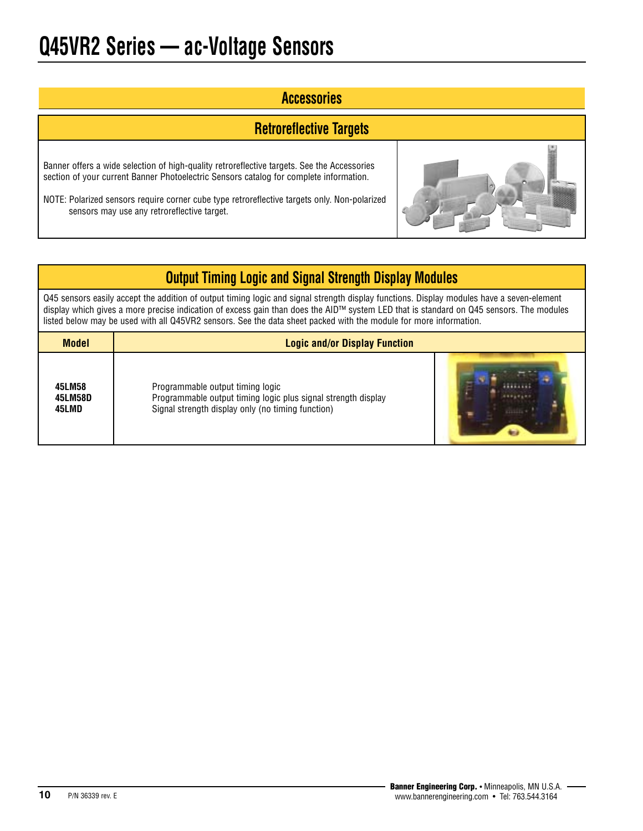### **Accessories**

### **Retroreflective Targets**

Banner offers a wide selection of high-quality retroreflective targets. See the Accessories section of your current Banner Photoelectric Sensors catalog for complete information.

NOTE: Polarized sensors require corner cube type retroreflective targets only. Non-polarized sensors may use any retroreflective target.



## **Output Timing Logic and Signal Strength Display Modules**

Q45 sensors easily accept the addition of output timing logic and signal strength display functions. Display modules have a seven-element display which gives a more precise indication of excess gain than does the AID™ system LED that is standard on Q45 sensors. The modules listed below may be used with all Q45VR2 sensors. See the data sheet packed with the module for more information.

| <b>Model</b> | <b>Logic and/or Display Function</b>                          |
|--------------|---------------------------------------------------------------|
| 45LM58       | Programmable output timing logic                              |
| 45LM58D      | Programmable output timing logic plus signal strength display |
| 45LMD        | Signal strength display only (no timing function)             |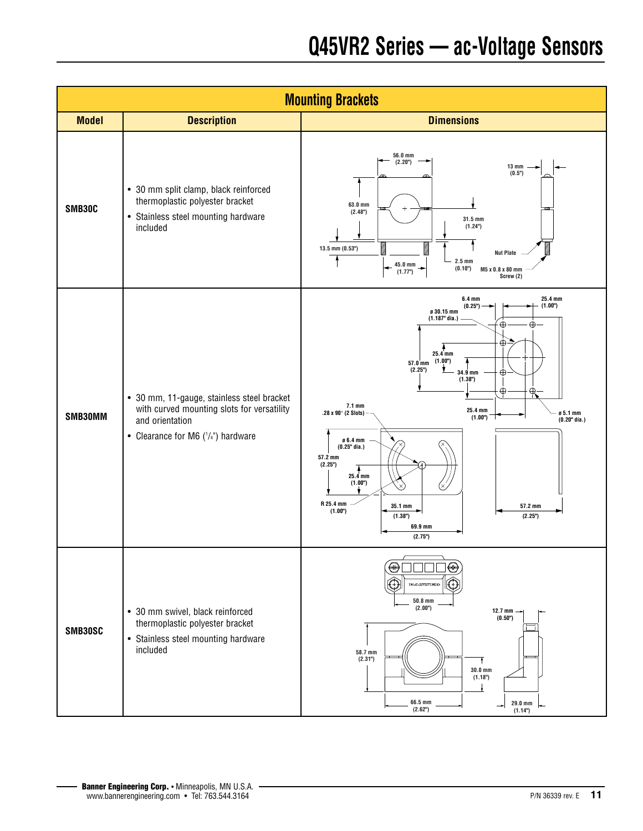|              |                                                                                                                                                         | <b>Mounting Brackets</b>                                                                                                                                                                                                                                                                                                                                                                                                                                                                                                                                     |
|--------------|---------------------------------------------------------------------------------------------------------------------------------------------------------|--------------------------------------------------------------------------------------------------------------------------------------------------------------------------------------------------------------------------------------------------------------------------------------------------------------------------------------------------------------------------------------------------------------------------------------------------------------------------------------------------------------------------------------------------------------|
| <b>Model</b> | <b>Description</b>                                                                                                                                      | <b>Dimensions</b>                                                                                                                                                                                                                                                                                                                                                                                                                                                                                                                                            |
| SMB30C       | • 30 mm split clamp, black reinforced<br>thermoplastic polyester bracket<br>• Stainless steel mounting hardware<br>included                             | 56.0 mm<br>(2.20)<br><b>13 mm</b><br>(0.5")<br>63.0 mm<br>(2.48 <sup>n</sup> )<br>31.5 mm<br>(1.24")<br>mmmm<br>mmm<br>$13.5$ mm $(0.53)$<br><b>Nut Plate</b><br>$2.5 \text{ mm}$<br>$45.0 \text{ mm}$ $\rightarrow$<br>(0.10")<br>M5 x 0.8 x 80 mm<br>(1.77")<br>Screw (2)                                                                                                                                                                                                                                                                                  |
| SMB30MM      | • 30 mm, 11-gauge, stainless steel bracket<br>with curved mounting slots for versatility<br>and orientation<br>• Clearance for M6 $(^{1}/4"$ ) hardware | 25.4 mm<br>$6.4 \text{ mm}$<br>(1.00")<br>(0.25")<br>ø 30.15 mm<br>$(1.187"$ dia.)<br>$\oplus$<br>$\bigoplus$<br>$_{\oplus}$<br>$25.4$ mm<br>57.0 mm (1.00")<br>İ<br>(2.25")<br>34.9 mm<br>$_{\oplus}$<br>(1.38 <sup>n</sup> )<br>$\oplus$<br>$_{\oplus}$<br>$7.1 \text{ mm}$<br>25.4 mm<br>.28 x 90 $^{\circ}$ (2 Slots)<br>ø 5.1 mm<br>(1.00")<br>$(0.20"$ dia.)<br>ø 6.4 mm<br>$(0.25"$ dia.)<br>57.2 mm<br>(2.25")<br>$25.4$ mm<br>(1.00")<br>(×)<br>R 25.4 mm<br>35.1 mm<br>57.2 mm<br>(1.00")<br>(1.38 <sup>n</sup> )<br>(2.25")<br>69.9 mm<br>(2.75") |
| SMB30SC      | • 30 mm swivel, black reinforced<br>thermoplastic polyester bracket<br>• Stainless steel mounting hardware<br>included                                  | $\oplus$<br>⊕<br><b>IRANTISTIRES</b><br>(∔)<br>$50.8$ mm<br>(2.00")<br>$12.7$ mm $-$<br>(0.50")<br>58.7 mm<br>(2.31")<br>ł<br>$30.0 \text{ mm}$<br>(1.18 <sup>n</sup> )<br>$66.5\;\mathrm{mm}$<br>29.0 mm<br>(2.62")<br>(1.14)                                                                                                                                                                                                                                                                                                                               |